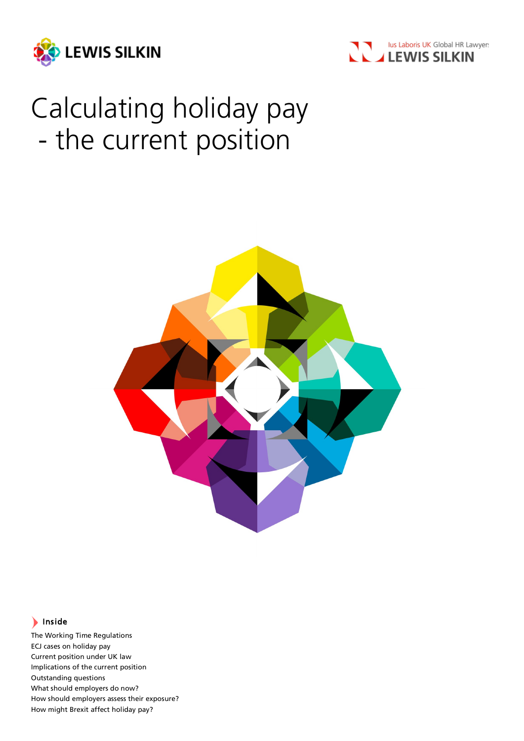



# Calculating holiday pay - the current position



# Inside

The Working Time Regulations ECJ cases on holiday pay Current position under UK law Implications of the current position Outstanding questions What should employers do now? How should employers assess their exposure? How might Brexit affect holiday pay?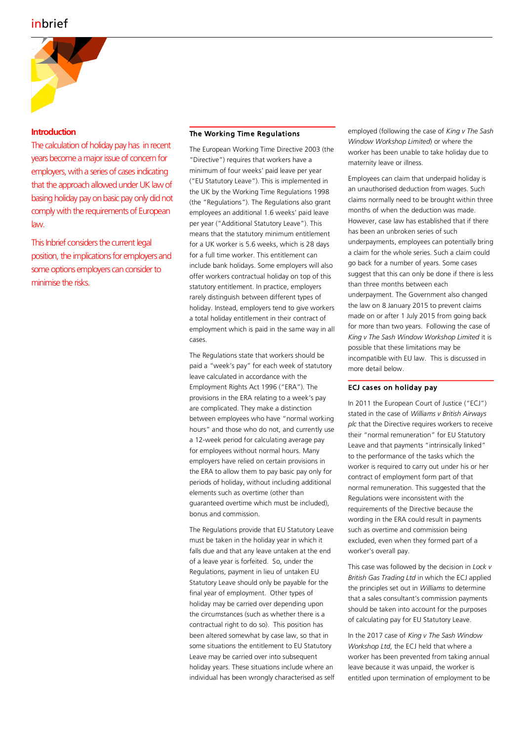

# **Introduction**

The calculation of holiday pay has in recent years become a major issue of concern for employers, with a series of cases indicating that the approach allowed under UK law of basing holiday pay on basic pay only did not comply with the requirements of European law.

This Inbrief considers the current legal position, the implications for employers and some options employers can consider to minimise the risks.

# The Working Time Regulations

The European Working Time Directive 2003 (the "Directive") requires that workers have a minimum of four weeks' paid leave per year ("EU Statutory Leave"). This is implemented in the UK by the Working Time Regulations 1998 (the "Regulations"). The Regulations also grant employees an additional 1.6 weeks' paid leave per year ("Additional Statutory Leave"). This means that the statutory minimum entitlement for a UK worker is 5.6 weeks, which is 28 days for a full time worker. This entitlement can include bank holidays. Some employers will also offer workers contractual holiday on top of this statutory entitlement. In practice, employers rarely distinguish between different types of holiday. Instead, employers tend to give workers a total holiday entitlement in their contract of employment which is paid in the same way in all cases.

The Regulations state that workers should be paid a "week's pay" for each week of statutory leave calculated in accordance with the Employment Rights Act 1996 ("ERA"). The provisions in the ERA relating to a week's pay are complicated. They make a distinction between employees who have "normal working hours" and those who do not, and currently use a 12-week period for calculating average pay for employees without normal hours. Many employers have relied on certain provisions in the ERA to allow them to pay basic pay only for periods of holiday, without including additional elements such as overtime (other than guaranteed overtime which must be included), bonus and commission.

The Regulations provide that EU Statutory Leave must be taken in the holiday year in which it falls due and that any leave untaken at the end of a leave year is forfeited. So, under the Regulations, payment in lieu of untaken EU Statutory Leave should only be payable for the final year of employment. Other types of holiday may be carried over depending upon the circumstances (such as whether there is a contractual right to do so). This position has been altered somewhat by case law, so that in some situations the entitlement to EU Statutory Leave may be carried over into subsequent holiday years. These situations include where an individual has been wrongly characterised as self employed (following the case of *King v The Sash Window Workshop Limited*) or where the worker has been unable to take holiday due to maternity leave or illness.

Employees can claim that underpaid holiday is an unauthorised deduction from wages. Such claims normally need to be brought within three months of when the deduction was made. However, case law has established that if there has been an unbroken series of such underpayments, employees can potentially bring a claim for the whole series. Such a claim could go back for a number of years. Some cases suggest that this can only be done if there is less than three months between each underpayment. The Government also changed the law on 8 January 2015 to prevent claims made on or after 1 July 2015 from going back for more than two years. Following the case of *King v The Sash Window Workshop Limited* it is possible that these limitations may be incompatible with EU law. This is discussed in more detail below.

## ECJ cases on holiday pay

In 2011 the European Court of Justice ("ECJ") stated in the case of *Williams v British Airways plc* that the Directive requires workers to receive their "normal remuneration" for EU Statutory Leave and that payments "intrinsically linked" to the performance of the tasks which the worker is required to carry out under his or her contract of employment form part of that normal remuneration. This suggested that the Regulations were inconsistent with the requirements of the Directive because the wording in the ERA could result in payments such as overtime and commission being excluded, even when they formed part of a worker's overall pay.

This case was followed by the decision in *Lock v British Gas Trading Ltd* in which the ECJ applied the principles set out in *Williams* to determine that a sales consultant's commission payments should be taken into account for the purposes of calculating pay for EU Statutory Leave.

In the 2017 case of *King v The Sash Window Workshop Ltd*, the ECJ held that where a worker has been prevented from taking annual leave because it was unpaid, the worker is entitled upon termination of employment to be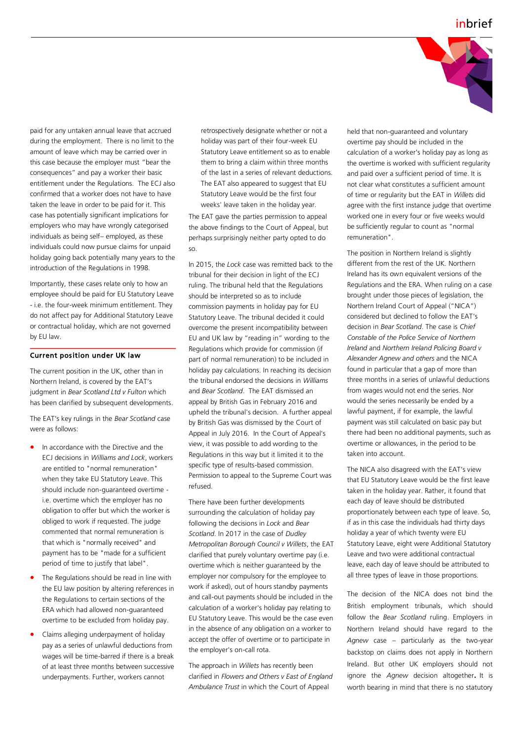

paid for any untaken annual leave that accrued during the employment. There is no limit to the amount of leave which may be carried over in this case because the employer must "bear the consequences" and pay a worker their basic entitlement under the Regulations. The ECJ also confirmed that a worker does not have to have taken the leave in order to be paid for it. This case has potentially significant implications for employers who may have wrongly categorised individuals as being self– employed, as these individuals could now pursue claims for unpaid holiday going back potentially many years to the introduction of the Regulations in 1998.

Importantly, these cases relate only to how an employee should be paid for EU Statutory Leave - i.e. the four-week minimum entitlement. They do not affect pay for Additional Statutory Leave or contractual holiday, which are not governed by EU law.

#### Current position under UK law

The current position in the UK, other than in Northern Ireland, is covered by the EAT's judgment in *Bear Scotland Ltd v Fulton* which has been clarified by subsequent developments.

The EAT's key rulings in the *Bear Scotland* case were as follows:

- In accordance with the Directive and the ECJ decisions in *Williams and Lock*, workers are entitled to "normal remuneration" when they take EU Statutory Leave. This should include non-guaranteed overtime i.e. overtime which the employer has no obligation to offer but which the worker is obliged to work if requested. The judge commented that normal remuneration is that which is "normally received" and payment has to be "made for a sufficient period of time to justify that label".
- The Regulations should be read in line with the EU law position by altering references in the Regulations to certain sections of the ERA which had allowed non-guaranteed overtime to be excluded from holiday pay.
- Claims alleging underpayment of holiday pay as a series of unlawful deductions from wages will be time-barred if there is a break of at least three months between successive underpayments. Further, workers cannot

retrospectively designate whether or not a holiday was part of their four-week EU Statutory Leave entitlement so as to enable them to bring a claim within three months of the last in a series of relevant deductions. The EAT also appeared to suggest that EU Statutory Leave would be the first four weeks' leave taken in the holiday year.

The EAT gave the parties permission to appeal the above findings to the Court of Appeal, but perhaps surprisingly neither party opted to do so.

In 2015, the *Lock* case was remitted back to the tribunal for their decision in light of the ECJ ruling. The tribunal held that the Regulations should be interpreted so as to include commission payments in holiday pay for EU Statutory Leave. The tribunal decided it could overcome the present incompatibility between EU and UK law by "reading in" wording to the Regulations which provide for commission (if part of normal remuneration) to be included in holiday pay calculations. In reaching its decision the tribunal endorsed the decisions in *Williams*  and *Bear Scotland*. The EAT dismissed an appeal by British Gas in February 2016 and upheld the tribunal's decision. A further appeal by British Gas was dismissed by the Court of Appeal in July 2016. In the Court of Appeal's view, it was possible to add wording to the Regulations in this way but it limited it to the specific type of results-based commission. Permission to appeal to the Supreme Court was refused.

There have been further developments surrounding the calculation of holiday pay following the decisions in *Lock* and *Bear Scotland*. In 2017 in the case of *Dudley Metropolitan Borough Council v Willets*, the EAT clarified that purely voluntary overtime pay (i.e. overtime which is neither guaranteed by the employer nor compulsory for the employee to work if asked), out of hours standby payments and call-out payments should be included in the calculation of a worker's holiday pay relating to EU Statutory Leave. This would be the case even in the absence of any obligation on a worker to accept the offer of overtime or to participate in the employer's on-call rota.

The approach in *Willets* has recently been clarified in *Flowers and Others v East of England Ambulance Trust* in which the Court of Appeal

held that non-guaranteed and voluntary overtime pay should be included in the calculation of a worker's holiday pay as long as the overtime is worked with sufficient regularity and paid over a sufficient period of time. It is not clear what constitutes a sufficient amount of time or regularity but the EAT in *Willets* did agree with the first instance judge that overtime worked one in every four or five weeks would be sufficiently regular to count as "normal remuneration".

The position in Northern Ireland is slightly different from the rest of the UK. Northern Ireland has its own equivalent versions of the Regulations and the ERA. When ruling on a case brought under those pieces of legislation, the Northern Ireland Court of Appeal ("NICA") considered but declined to follow the EAT's decision in *Bear Scotland*. The case is *Chief Constable of the Police Service of Northern Ireland* and *Northern Ireland Policing Board v Alexander Agnew and others* and the NICA found in particular that a gap of more than three months in a series of unlawful deductions from wages would not end the series. Nor would the series necessarily be ended by a lawful payment, if for example, the lawful payment was still calculated on basic pay but there had been no additional payments, such as overtime or allowances, in the period to be taken into account.

The NICA also disagreed with the EAT's view that EU Statutory Leave would be the first leave taken in the holiday year. Rather, it found that each day of leave should be distributed proportionately between each type of leave. So, if as in this case the individuals had thirty days holiday a year of which twenty were EU Statutory Leave, eight were Additional Statutory Leave and two were additional contractual leave, each day of leave should be attributed to all three types of leave in those proportions.

The decision of the NICA does not bind the British employment tribunals, which should follow the *Bear Scotland* ruling. Employers in Northern Ireland should have regard to the *Agnew* case – particularly as the two-year backstop on claims does not apply in Northern Ireland. But other UK employers should not ignore the *Agnew* decision altogether**.** It is worth bearing in mind that there is no statutory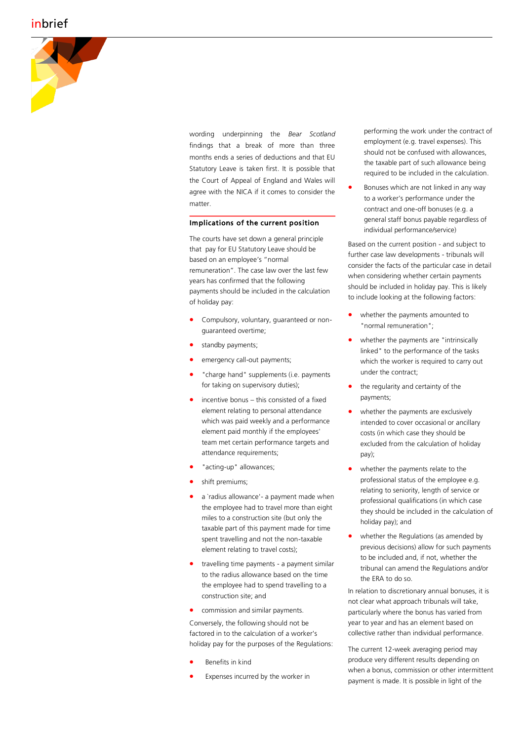# inbrief



wording underpinning the *Bear Scotland*  findings that a break of more than three months ends a series of deductions and that EU Statutory Leave is taken first. It is possible that the Court of Appeal of England and Wales will agree with the NICA if it comes to consider the matter.

#### Implications of the current position

The courts have set down a general principle that pay for EU Statutory Leave should be based on an employee 's "normal remuneration". The case law over the last few years has confirmed that the following payments should be included in the calculation of holiday pay:

- Compulsory, voluntary, guaranteed or nonguaranteed overtime;
- standby payments;
- emergency call-out payments;
- "charge hand" supplements (i.e. payments for taking on supervisory duties);
- incentive bonus this consisted of a fixed element relating to personal attendance which was paid weekly and a performance element paid monthly if the employees' team met certain performance targets and attendance requirements;
- "acting-up" allowances;
- shift premiums;
- a `radius allowance' a payment made when the employee had to travel more than eight miles to a construction site (but only the taxable part of this payment made for time spent travelling and not the non -taxable element relating to travel costs);
- travelling time payments a payment similar to the radius allowance based on the time the employee had to spend travelling to a construction site; and
- commission and similar payments.

Conversely, the following should not be factored in to the calculation of a worker's holiday pay for the purposes of the Regulations:

- Benefits in kind
- Expenses incurred by the worker in

performing the work under the contract of employment (e.g. travel expenses). This should not be confused with allowances, the taxable part of such allowance being required to be included in the calculation.

• Bonuses which are not linked in any way to a worker's performance under the contract and one -off bonuses (e.g. a general staff bonus payable regardless of individual performance/service)

Based on the current position - and subject to further case law developments - tribunals will consider the facts of the particular case in detail when considering whether certain payments should be included in holiday pay. This is likely to include looking at the following factors:

- whether the payments amounted to "normal remuneration";
- whether the payments are "intrinsically linked" to the performance of the tasks which the worker is required to carry out under the contract;
- the regularity and certainty of the payments;
- whether the payments are exclusively intended to cover occasional or ancillary costs (in which case they should be excluded from the calculation of holiday pay);
- whether the payments relate to the professional status of the employee e.g. relating to seniority, length of service or professional qualifications (in which case they should be included in the calculation of holiday pay); and
- whether the Regulations (as amended by previous decisions) allow for such payments to be included and, if not, whether the tribunal can amend the Regulations and/or the ERA to do so.

In relation to discretionary annual bonuses, it is not clear what approach tribunals will take, particularly where the bonus has varied from year to year and has an element based on collective rather than individual performance.

The current 12 -week averaging period may produce very different results depending on when a bonus, commission or other intermittent payment is made. It is possible in light of the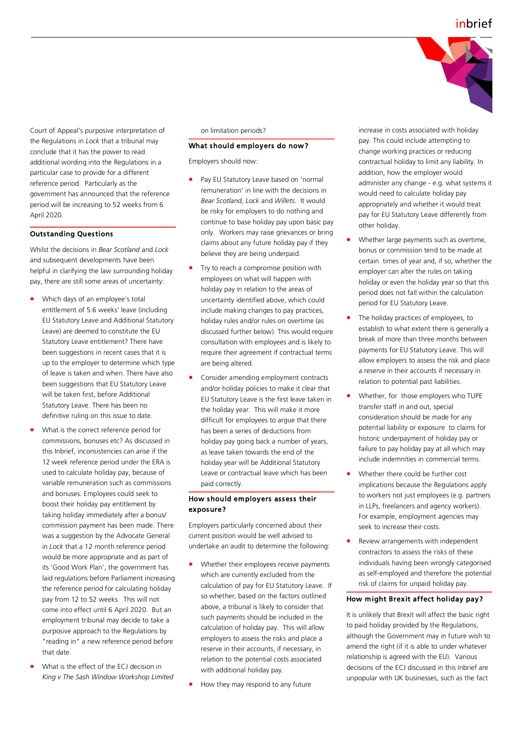

Court of Appeal's purposive interpretation of the Regulations in *Lock* that a tribunal may conclude that it has the power to read additional wording into the Regulations in a particular case to provide for a different reference period. Particularly as the government has announced that the reference period will be increasing to 52 weeks from 6 April 2020.

#### Outstanding Questions

Whilst the decisions in *Bear Scotland* and *Lock*  and subsequent developments have been helpful in clarifying the law surrounding holiday pay, there are still some areas of uncertainty:

- Which days of an employee's total entitlement of 5.6 weeks' leave (including EU Statutory Leave and Additional Statutory Leave) are deemed to constitute the EU Statutory Leave entitlement? There have been suggestions in recent cases that it is up to the employer to determine which type of leave is taken and when. There have also been suggestions that EU Statutory Leave will be taken first, before Additional Statutory Leave. There has been no definitive ruling on this issue to date.
- What is the correct reference period for commissions, bonuses etc? As discussed in this Inbrief, inconsistencies can arise if the 12 week reference period under the ERA is used to calculate holiday pay, because of variable remuneration such as commissions and bonuses. Employees could seek to boost their holiday pay entitlement by taking holiday immediately after a bonus/ commission payment has been made. There was a suggestion by the Advocate General in *Lock* that a 12 month reference period would be more appropriate and as part of its 'Good Work Plan', the government has laid regulations before Parliament increasing the reference period for calculating holiday pay from 12 to 52 weeks. This will not come into effect until 6 April 2020. But an employment tribunal may decide to take a purposive approach to the Regulations by "reading in" a new reference period before that date.
- What is the effect of the ECJ decision in *King v The Sash Window Workshop Limited*

on limitation periods?

## What should employers do now?

Employers should now:

- Pay EU Statutory Leave based on 'normal remuneration' in line with the decisions in *Bear Scotland, Lock* and *Willets*. It would be risky for employers to do nothing and continue to base holiday pay upon basic pay only. Workers may raise grievances or bring claims about any future holiday pay if they believe they are being underpaid.
- Try to reach a compromise position with employees on what will happen with holiday pay in relation to the areas of uncertainty identified above, which could include making changes to pay practices, holiday rules and/or rules on overtime (as discussed further below). This would require consultation with employees and is likely to require their agreement if contractual terms are being altered.
- Consider amending employment contracts and/or holiday policies to make it clear that EU Statutory Leave is the first leave taken in the holiday year. This will make it more difficult for employees to argue that there has been a series of deductions from holiday pay going back a number of years, as leave taken towards the end of the holiday year will be Additional Statutory Leave or contractual leave which has been paid correctly.

### How should employers assess their exposure?

Employers particularly concerned about their current position would be well advised to undertake an audit to determine the following:

- Whether their employees receive payments which are currently excluded from the calculation of pay for EU Statutory Leave. If so whether, based on the factors outlined above, a tribunal is likely to consider that such payments should be included in the calculation of holiday pay. This will allow employers to assess the risks and place a reserve in their accounts, if necessary, in relation to the potential costs associated with additional holiday pay.
- How they may respond to any future

increase in costs associated with holiday pay. This could include attempting to change working practices or reducing contractual holiday to limit any liability. In addition, how the employer would administer any change - e.g. what systems it would need to calculate holiday pay appropriately and whether it would treat pay for EU Statutory Leave differently from other holiday.

- Whether large payments such as overtime*,*  bonus or commission tend to be made at certain times of year and, if so, whether the employer can alter the rules on taking holiday or even the holiday year so that this period does not fall within the calculation period for EU Statutory Leave.
- The holiday practices of employees, to establish to what extent there is generally a break of more than three months between payments for EU Statutory Leave. This will allow employers to assess the risk and place a reserve in their accounts if necessary in relation to potential past liabilities.
- Whether, for those employers who TUPE transfer staff in and out, special consideration should be made for any potential liability or exposure to claims for historic underpayment of holiday pay or failure to pay holiday pay at all which may include indemnities in commercial terms.
- Whether there could be further cost implications because the Regulations apply to workers not just employees (e.g. partners in LLPs, freelancers and agency workers). For example, employment agencies may seek to increase their costs.
- Review arrangements with independent contractors to assess the risks of these individuals having been wrongly categorised as self-employed and therefore the potential risk of claims for unpaid holiday pay.

#### How might Brexit affect holiday pay?

It is unlikely that Brexit will affect the basic right to paid holiday provided by the Regulations, although the Government may in future wish to amend the right (if it is able to under whatever relationship is agreed with the EU). Various decisions of the ECJ discussed in this Inbrief are unpopular with UK businesses, such as the fact